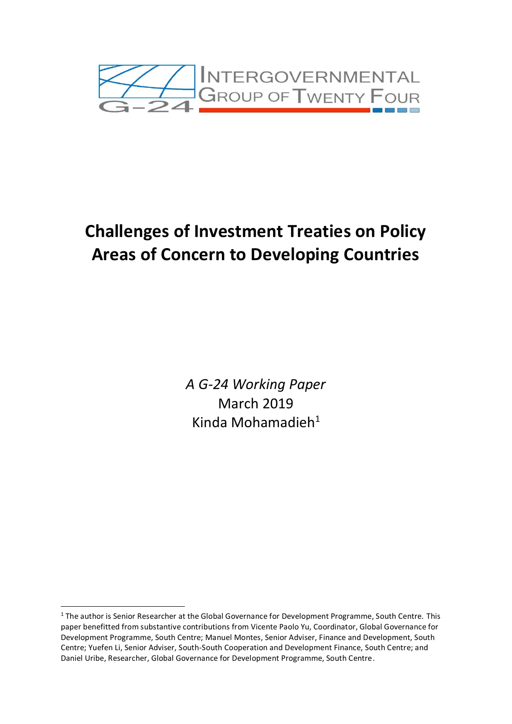

# **Challenges of Investment Treaties on Policy Areas of Concern to Developing Countries**

*A G-24 Working Paper*  March 2019 Kinda Mohamadieh<sup>1</sup>

<sup>&</sup>lt;sup>1</sup> The author is Senior Researcher at the Global Governance for Development Programme, South Centre. This paper benefitted from substantive contributions from Vicente Paolo Yu, Coordinator, Global Governance for Development Programme, South Centre; Manuel Montes, Senior Adviser, Finance and Development, South Centre; Yuefen Li, Senior Adviser, South-South Cooperation and Development Finance, South Centre; and Daniel Uribe, Researcher, Global Governance for Development Programme, South Centre.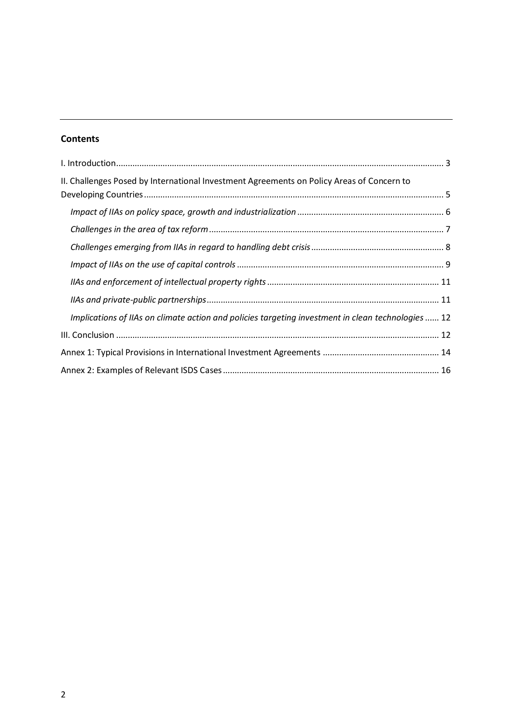# **Contents**

| II. Challenges Posed by International Investment Agreements on Policy Areas of Concern to          |  |
|----------------------------------------------------------------------------------------------------|--|
|                                                                                                    |  |
|                                                                                                    |  |
|                                                                                                    |  |
|                                                                                                    |  |
|                                                                                                    |  |
|                                                                                                    |  |
|                                                                                                    |  |
| Implications of IIAs on climate action and policies targeting investment in clean technologies  12 |  |
|                                                                                                    |  |
|                                                                                                    |  |
|                                                                                                    |  |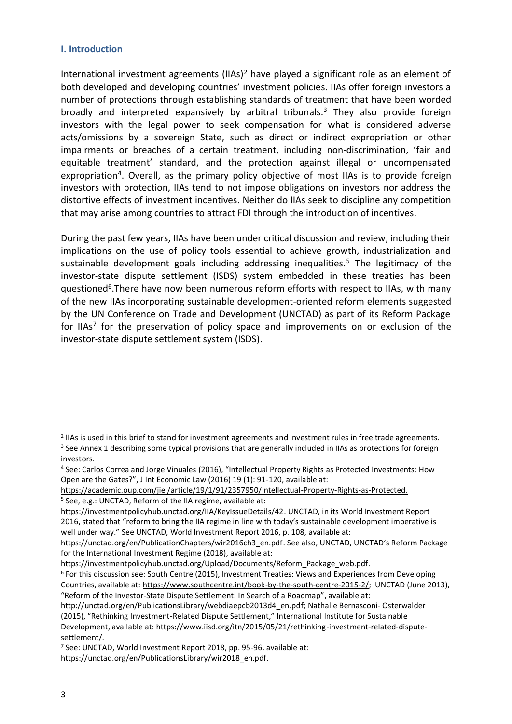#### <span id="page-2-0"></span>**I. Introduction**

International investment agreements  $(IIAs)^2$  have played a significant role as an element of both developed and developing countries' investment policies. IIAs offer foreign investors a number of protections through establishing standards of treatment that have been worded broadly and interpreted expansively by arbitral tribunals. <sup>3</sup> They also provide foreign investors with the legal power to seek compensation for what is considered adverse acts/omissions by a sovereign State, such as direct or indirect expropriation or other impairments or breaches of a certain treatment, including non-discrimination, 'fair and equitable treatment' standard, and the protection against illegal or uncompensated expropriation<sup>4</sup>. Overall, as the primary policy objective of most IIAs is to provide foreign investors with protection, IIAs tend to not impose obligations on investors nor address the distortive effects of investment incentives. Neither do IIAs seek to discipline any competition that may arise among countries to attract FDI through the introduction of incentives.

During the past few years, IIAs have been under critical discussion and review, including their implications on the use of policy tools essential to achieve growth, industrialization and sustainable development goals including addressing inequalities.<sup>5</sup> The legitimacy of the investor-state dispute settlement (ISDS) system embedded in these treaties has been questioned<sup>6</sup>. There have now been numerous reform efforts with respect to IIAs, with many of the new IIAs incorporating sustainable development-oriented reform elements suggested by the UN Conference on Trade and Development (UNCTAD) as part of its Reform Package for IIAs<sup>7</sup> for the preservation of policy space and improvements on or exclusion of the investor-state dispute settlement system (ISDS).

https://investmentpolicyhub.unctad.org/Upload/Documents/Reform\_Package\_web.pdf.

<sup>2</sup> IIAs is used in this brief to stand for investment agreements and investment rules in free trade agreements. <sup>3</sup> See Annex 1 describing some typical provisions that are generally included in IIAs as protections for foreign investors.

<sup>4</sup> See: Carlos Correa and Jorge Vinuales (2016), "Intellectual Property Rights as Protected Investments: How Open are the Gates?", J Int Economic Law (2016) 19 (1): 91-120, available at:

[https://academic.oup.com/jiel/article/19/1/91/2357950/Intellectual-Property-Rights-as-Protected.](https://academic.oup.com/jiel/article/19/1/91/2357950/Intellectual-Property-Rights-as-Protected) <sup>5</sup> See, e.g.: UNCTAD, Reform of the IIA regime, available at:

[https://investmentpolicyhub.unctad.org/IIA/KeyIssueDetails/42.](https://investmentpolicyhub.unctad.org/IIA/KeyIssueDetails/42) UNCTAD, in its World Investment Report 2016, stated that "reform to bring the IIA regime in line with today's sustainable development imperative is well under way." See UNCTAD, World Investment Report 2016, p. 108, available at:

[https://unctad.org/en/PublicationChapters/wir2016ch3\\_en.pdf.](https://unctad.org/en/PublicationChapters/wir2016ch3_en.pdf) See also, UNCTAD, UNCTAD's Reform Package for the International Investment Regime (2018), available at:

<sup>6</sup> For this discussion see: South Centre (2015), Investment Treaties: Views and Experiences from Developing Countries, available at: [https://www.southcentre.int/book-by-the-south-centre-2015-2/;](https://www.southcentre.int/book-by-the-south-centre-2015-2/) UNCTAD (June 2013), "Reform of the Investor-State Dispute Settlement: In Search of a Roadmap", available at:

[http://unctad.org/en/PublicationsLibrary/webdiaepcb2013d4\\_en.pdf;](http://unctad.org/en/PublicationsLibrary/webdiaepcb2013d4_en.pdf) Nathalie Bernasconi- Osterwalder (2015), "Rethinking Investment-Related Dispute Settlement," International Institute for Sustainable Development, available at: https://www.iisd.org/itn/2015/05/21/rethinking-investment-related-disputesettlement/.

<sup>7</sup> See: UNCTAD, World Investment Report 2018, pp. 95-96. available at: https://unctad.org/en/PublicationsLibrary/wir2018\_en.pdf.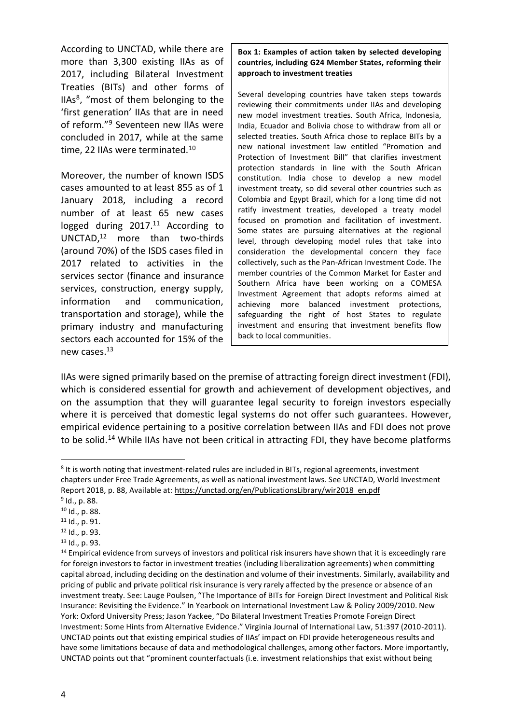According to UNCTAD, while there are more than 3,300 existing IIAs as of 2017, including Bilateral Investment Treaties (BITs) and other forms of IIAs<sup>8</sup>, "most of them belonging to the 'first generation' IIAs that are in need of reform."<sup>9</sup> Seventeen new IIAs were concluded in 2017, while at the same time, 22 IIAs were terminated.<sup>10</sup>

Moreover, the number of known ISDS cases amounted to at least 855 as of 1 January 2018, including a record number of at least 65 new cases logged during 2017.<sup>11</sup> According to UNCTAD, <sup>12</sup> more than two-thirds (around 70%) of the ISDS cases filed in 2017 related to activities in the services sector (finance and insurance services, construction, energy supply, information and communication, transportation and storage), while the primary industry and manufacturing sectors each accounted for 15% of the new cases.<sup>13</sup>

**Box 1: Examples of action taken by selected developing countries, including G24 Member States, reforming their approach to investment treaties**

Several developing countries have taken steps towards reviewing their commitments under IIAs and developing new model investment treaties. South Africa, Indonesia, India, Ecuador and Bolivia chose to withdraw from all or selected treaties. South Africa chose to replace BITs by a new national investment law entitled "Promotion and Protection of Investment Bill" that clarifies investment protection standards in line with the South African constitution. India chose to develop a new model investment treaty, so did several other countries such as Colombia and Egypt Brazil, which for a long time did not ratify investment treaties, developed a treaty model focused on promotion and facilitation of investment. Some states are pursuing alternatives at the regional level, through developing model rules that take into consideration the developmental concern they face collectively, such as the Pan-African Investment Code. The member countries of the Common Market for Easter and Southern Africa have been working on a COMESA Investment Agreement that adopts reforms aimed at achieving more balanced investment protections, safeguarding the right of host States to regulate investment and ensuring that investment benefits flow back to local communities.

IIAs were signed primarily based on the premise of attracting foreign direct investment (FDI), which is considered essential for growth and achievement of development objectives, and on the assumption that they will guarantee legal security to foreign investors especially where it is perceived that domestic legal systems do not offer such guarantees. However, empirical evidence pertaining to a positive correlation between IIAs and FDI does not prove to be solid.<sup>14</sup> While IIAs have not been critical in attracting FDI, they have become platforms

<sup>&</sup>lt;sup>8</sup> It is worth noting that investment-related rules are included in BITs, regional agreements, investment chapters under Free Trade Agreements, as well as national investment laws. See UNCTAD, World Investment Report 2018, p. 88, Available at: [https://unctad.org/en/PublicationsLibrary/wir2018\\_en.pdf](https://unctad.org/en/PublicationsLibrary/wir2018_en.pdf)

<sup>9</sup> Id., p. 88.

<sup>10</sup> Id., p. 88.

<sup>11</sup> Id., p. 91.

<sup>12</sup> [Id.,](file:///C:/Users/director/Downloads/Id) p. 93.

<sup>13</sup> Id., p. 93.

<sup>&</sup>lt;sup>14</sup> Empirical evidence from surveys of investors and political risk insurers have shown that it is exceedingly rare for foreign investors to factor in investment treaties (including liberalization agreements) when committing capital abroad, including deciding on the destination and volume of their investments. Similarly, availability and pricing of public and private political risk insurance is very rarely affected by the presence or absence of an investment treaty. See: Lauge Poulsen, "The Importance of BITs for Foreign Direct Investment and Political Risk Insurance: Revisiting the Evidence." In Yearbook on International Investment Law & Policy 2009/2010. New York: Oxford University Press; Jason Yackee, "Do Bilateral Investment Treaties Promote Foreign Direct Investment: Some Hints from Alternative Evidence." Virginia Journal of International Law, 51:397 (2010-2011). UNCTAD points out that existing empirical studies of IIAs' impact on FDI provide heterogeneous results and have some limitations because of data and methodological challenges, among other factors. More importantly, UNCTAD points out that "prominent counterfactuals (i.e. investment relationships that exist without being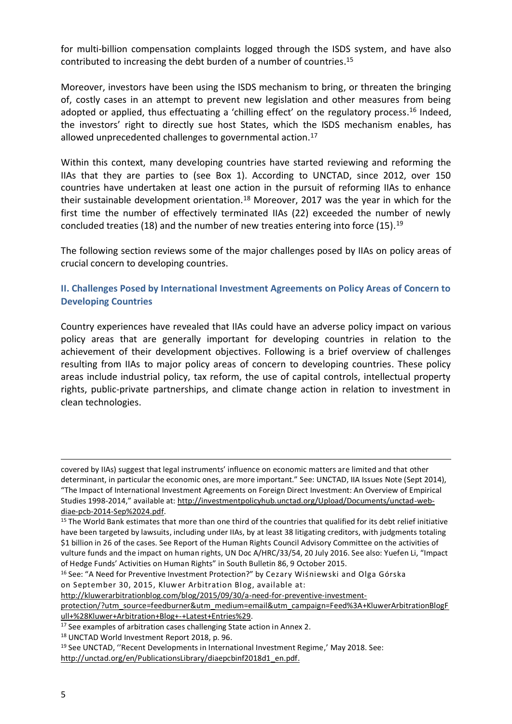<span id="page-4-1"></span>for multi-billion compensation complaints logged through the ISDS system, and have also contributed to increasing the debt burden of a number of countries. 15

Moreover, investors have been using the ISDS mechanism to bring, or threaten the bringing of, costly cases in an attempt to prevent new legislation and other measures from being adopted or applied, thus effectuating a 'chilling effect' on the regulatory process.<sup>16</sup> Indeed, the investors' right to directly sue host States, which the ISDS mechanism enables, has allowed unprecedented challenges to governmental action. 17

Within this context, many developing countries have started reviewing and reforming the IIAs that they are parties to (see Box 1). According to UNCTAD, since 2012, over 150 countries have undertaken at least one action in the pursuit of reforming IIAs to enhance their sustainable development orientation. <sup>18</sup> Moreover, 2017 was the year in which for the first time the number of effectively terminated IIAs (22) exceeded the number of newly concluded treaties (18) and the number of new treaties entering into force (15). 19

The following section reviews some of the major challenges posed by IIAs on policy areas of crucial concern to developing countries.

#### <span id="page-4-0"></span>**II. Challenges Posed by International Investment Agreements on Policy Areas of Concern to Developing Countries**

Country experiences have revealed that IIAs could have an adverse policy impact on various policy areas that are generally important for developing countries in relation to the achievement of their development objectives. Following is a brief overview of challenges resulting from IIAs to major policy areas of concern to developing countries. These policy areas include industrial policy, tax reform, the use of capital controls, intellectual property rights, public-private partnerships, and climate change action in relation to investment in clean technologies.

[http://kluwerarbitrationblog.com/blog/2015/09/30/a-need-for-preventive-investment-](http://kluwerarbitrationblog.com/blog/2015/09/30/a-need-for-preventive-investment-protection/?utm_source=feedburner&utm_medium=email&utm_campaign=Feed%3A+KluwerArbitrationBlogFull+%28Kluwer+Arbitration+Blog+-+Latest+Entries%29)

[protection/?utm\\_source=feedburner&utm\\_medium=email&utm\\_campaign=Feed%3A+KluwerArbitrationBlogF](http://kluwerarbitrationblog.com/blog/2015/09/30/a-need-for-preventive-investment-protection/?utm_source=feedburner&utm_medium=email&utm_campaign=Feed%3A+KluwerArbitrationBlogFull+%28Kluwer+Arbitration+Blog+-+Latest+Entries%29) [ull+%28Kluwer+Arbitration+Blog+-+Latest+Entries%29.](http://kluwerarbitrationblog.com/blog/2015/09/30/a-need-for-preventive-investment-protection/?utm_source=feedburner&utm_medium=email&utm_campaign=Feed%3A+KluwerArbitrationBlogFull+%28Kluwer+Arbitration+Blog+-+Latest+Entries%29)

covered by IIAs) suggest that legal instruments' influence on economic matters are limited and that other determinant, in particular the economic ones, are more important." See: UNCTAD, IIA Issues Note (Sept 2014), "The Impact of International Investment Agreements on Foreign Direct Investment: An Overview of Empirical Studies 1998-2014," available at: [http://investmentpolicyhub.unctad.org/Upload/Documents/unctad-web](http://investmentpolicyhub.unctad.org/Upload/Documents/unctad-web-diae-pcb-2014-Sep%2024.pdf)[diae-pcb-2014-Sep%2024.pdf.](http://investmentpolicyhub.unctad.org/Upload/Documents/unctad-web-diae-pcb-2014-Sep%2024.pdf)

<sup>&</sup>lt;sup>15</sup> The World Bank estimates that more than one third of the countries that qualified for its debt relief initiative have been targeted by lawsuits, including under IIAs, by at least 38 litigating creditors, with judgments totaling \$1 billion in 26 of the cases. See Report of the Human Rights Council Advisory Committee on the activities of vulture funds and the impact on human rights, UN Doc A/HRC/33/54, 20 July 2016. See also: Yuefen Li, "Impact of Hedge Funds' Activities on Human Rights" in South Bulletin 86, 9 October 2015.

<sup>&</sup>lt;sup>16</sup> See: "A Need for Preventive Investment Protection?" by [Cezary Wiśniewski and Olga Górska](http://kluwerarbitrationblog.com/author/cezarywisniewski/) on [September 30, 2015,](http://kluwerarbitrationblog.com/2015/09/30/a-need-for-preventive-investment-protection/) Kluwer Arbitration Blog, available at:

<sup>&</sup>lt;sup>17</sup> See examples of arbitration cases challenging State action in Annex 2.

<sup>18</sup> UNCTAD World Investment Report 2018, p. 96.

<sup>&</sup>lt;sup>19</sup> See UNCTAD, "Recent Developments in International Investment Regime,' May 2018. See: [http://unctad.org/en/PublicationsLibrary/diaepcbinf2018d1\\_en.pdf.](http://unctad.org/en/PublicationsLibrary/diaepcbinf2018d1_en.pdf)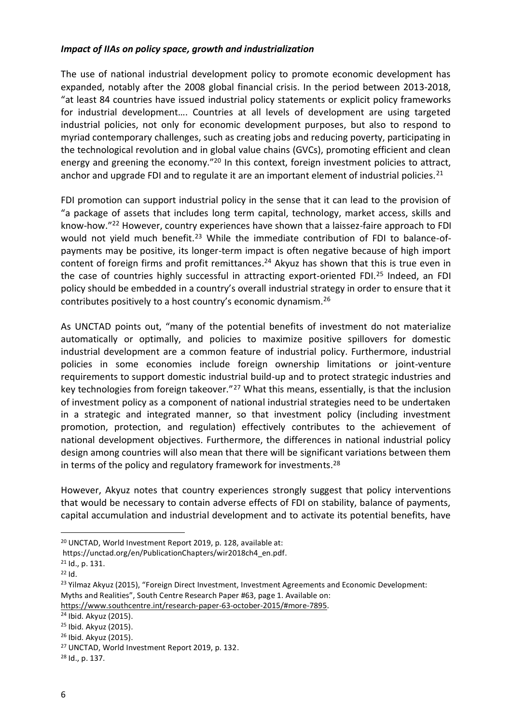#### *Impact of IIAs on policy space, growth and industrialization*

The use of national industrial development policy to promote economic development has expanded, notably after the 2008 global financial crisis. In the period between 2013-2018, "at least 84 countries have issued industrial policy statements or explicit policy frameworks for industrial development…. Countries at all levels of development are using targeted industrial policies, not only for economic development purposes, but also to respond to myriad contemporary challenges, such as creating jobs and reducing poverty, participating in the technological revolution and in global value chains (GVCs), promoting efficient and clean energy and greening the economy."<sup>20</sup> In this context, foreign investment policies to attract, anchor and upgrade FDI and to regulate it are an important element of industrial policies.<sup>21</sup>

FDI promotion can support industrial policy in the sense that it can lead to the provision of "a package of assets that includes long term capital, technology, market access, skills and know-how."<sup>22</sup> However, country experiences have shown that a laissez-faire approach to FDI would not yield much benefit.<sup>23</sup> While the immediate contribution of FDI to balance-ofpayments may be positive, its longer-term impact is often negative because of high import content of foreign firms and profit remittances. <sup>24</sup> Akyuz has shown that this is true even in the case of countries highly successful in attracting export-oriented FDI. <sup>25</sup> Indeed, an FDI policy should be embedded in a country's overall industrial strategy in order to ensure that it contributes positively to a host country's economic dynamism. 26

As UNCTAD points out, "many of the potential benefits of investment do not materialize automatically or optimally, and policies to maximize positive spillovers for domestic industrial development are a common feature of industrial policy. Furthermore, industrial policies in some economies include foreign ownership limitations or joint-venture requirements to support domestic industrial build-up and to protect strategic industries and key technologies from foreign takeover."<sup>27</sup> What this means, essentially, is that the inclusion of investment policy as a component of national industrial strategies need to be undertaken in a strategic and integrated manner, so that investment policy (including investment promotion, protection, and regulation) effectively contributes to the achievement of national development objectives. Furthermore, the differences in national industrial policy design among countries will also mean that there will be significant variations between them in terms of the policy and regulatory framework for investments.<sup>28</sup>

However, Akyuz notes that country experiences strongly suggest that policy interventions that would be necessary to contain adverse effects of FDI on stability, balance of payments, capital accumulation and industrial development and to activate its potential benefits, have

<sup>20</sup> UNCTAD, World Investment Report 2019, p. 128, available at:

https://unctad.org/en/PublicationChapters/wir2018ch4\_en.pdf.

<sup>21</sup> Id., p. 131.

<sup>22</sup> Id.

<sup>&</sup>lt;sup>23</sup> Yilmaz Akyuz (2015), "Foreign Direct Investment, Investment Agreements and Economic Development: Myths and Realities", South Centre Research Paper #63, page 1. Available on:

[https://www.southcentre.int/research-paper-63-october-2015/#more-7895.](https://www.southcentre.int/research-paper-63-october-2015/#more-7895)

<sup>24</sup> Ibid. Akyuz (2015).

<sup>25</sup> Ibid. Akyuz (2015).

<sup>26</sup> Ibid. Akyuz (2015).

<sup>27</sup> UNCTAD, World Investment Report 2019, p. 132.

<sup>28</sup> Id., p. 137.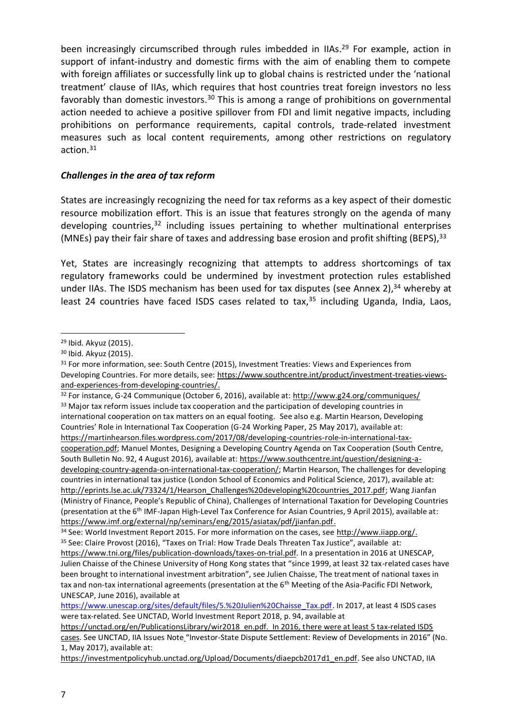been increasingly circumscribed through rules imbedded in IIAs.<sup>29</sup> For example, action in support of infant-industry and domestic firms with the aim of enabling them to compete with foreign affiliates or successfully link up to global chains is restricted under the 'national treatment' clause of IIAs, which requires that host countries treat foreign investors no less favorably than domestic investors.<sup>30</sup> This is among a range of prohibitions on governmental action needed to achieve a positive spillover from FDI and limit negative impacts, including prohibitions on performance requirements, capital controls, trade-related investment measures such as local content requirements, among other restrictions on regulatory action. 31

#### <span id="page-6-0"></span>*Challenges in the area of tax reform*

States are increasingly recognizing the need for tax reforms as a key aspect of their domestic resource mobilization effort. This is an issue that features strongly on the agenda of many developing countries,<sup>32</sup> including issues pertaining to whether multinational enterprises (MNEs) pay their fair share of taxes and addressing base erosion and profit shifting (BEPS), 33

Yet, States are increasingly recognizing that attempts to address shortcomings of tax regulatory frameworks could be undermined by investment protection rules established under IIAs. The ISDS mechanism has been used for tax disputes (see Annex 2),<sup>34</sup> whereby at least 24 countries have faced ISDS cases related to tax, <sup>35</sup> including Uganda, India, Laos,

<sup>32</sup> For instance, G-24 Communique (October 6, 2016), available at:<http://www.g24.org/communiques/> <sup>33</sup> Major tax reform issues include tax cooperation and the participation of developing countries in international cooperation on tax matters on an equal footing. See also e.g. Martin Hearson, Developing Countries' Role in International Tax Cooperation (G-24 Working Paper, 25 May 2017), available at: [https://martinhearson.files.wordpress.com/2017/08/developing-countries-role-in-international-tax](https://martinhearson.files.wordpress.com/2017/08/developing-countries-role-in-international-tax-cooperation.pdf)[cooperation.pdf;](https://martinhearson.files.wordpress.com/2017/08/developing-countries-role-in-international-tax-cooperation.pdf) Manuel Montes, Designing a Developing Country Agenda on Tax Cooperation (South Centre, South Bulletin No. 92, 4 August 2016), available at: [https://www.southcentre.int/question/designing-a](https://www.southcentre.int/question/designing-a-developing-country-agenda-on-international-tax-cooperation/)[developing-country-agenda-on-international-tax-cooperation/;](https://www.southcentre.int/question/designing-a-developing-country-agenda-on-international-tax-cooperation/) Martin Hearson, The challenges for developing countries in international tax justice (London School of Economics and Political Science, 2017), available at: [http://eprints.lse.ac.uk/73324/1/Hearson\\_Challenges%20developing%20countries\\_2017.pdf;](http://eprints.lse.ac.uk/73324/1/Hearson_Challenges%20developing%20countries_2017.pdf) Wang Jianfan (Ministry of Finance, People's Republic of China), Challenges of International Taxation for Developing Countries (presentation at the 6th IMF-Japan High-Level Tax Conference for Asian Countries, 9 April 2015), available at: [https://www.imf.org/external/np/seminars/eng/2015/asiatax/pdf/jianfan.pdf.](https://www.imf.org/external/np/seminars/eng/2015/asiatax/pdf/jianfan.pdf)

<sup>1</sup> <sup>29</sup> Ibid. Akyuz (2015).

<sup>30</sup> Ibid. Akyuz (2015).

<sup>&</sup>lt;sup>31</sup> For more information, see: South Centre (2015), Investment Treaties: Views and Experiences from Developing Countries. For more details, see: [https://www.southcentre.int/product/investment-treaties-views](https://www.southcentre.int/product/investment-treaties-views-and-experiences-from-developing-countries/)[and-experiences-from-developing-countries/.](https://www.southcentre.int/product/investment-treaties-views-and-experiences-from-developing-countries/)

<sup>34</sup> See: World Investment Report 2015. For more information on the cases, see [http://www.iiapp.org/.](http://www.iiapp.org/) <sup>35</sup> See: Claire Provost (2016), "Taxes on Trial: How Trade Deals Threaten Tax Justice", available at:

[https://www.tni.org/files/publication-downloads/taxes-on-trial.pdf.](https://www.tni.org/files/publication-downloads/taxes-on-trial.pdf) In a presentation in 2016 at UNESCAP, Julien Chaisse of the Chinese University of Hong Kong states that "since 1999, at least 32 tax-related cases have been brought to international investment arbitration", see Julien Chaisse, The treatment of national taxes in tax and non-tax international agreements (presentation at the 6<sup>th</sup> Meeting of the Asia-Pacific FDI Network, UNESCAP, June 2016), available at

[https://www.unescap.org/sites/default/files/5.%20Julien%20Chaisse\\_Tax.pdf.](https://www.unescap.org/sites/default/files/5.%20Julien%20Chaisse_Tax.pdf) In 2017, at least 4 ISDS cases were tax-related. See UNCTAD, World Investment Report 2018, p. 94, available at

https://unctad.org/en/PublicationsLibrary/wir2018\_en.pdf. In 2016, there were at least 5 tax-related ISDS cases. See UNCTAD, IIA Issues Note "Investor-State Dispute Settlement: Review of Developments in 2016" (No. 1, May 2017), available at:

[https://investmentpolicyhub.unctad.org/Upload/Documents/diaepcb2017d1\\_en.pdf.](https://investmentpolicyhub.unctad.org/Upload/Documents/diaepcb2017d1_en.pdf) See also UNCTAD, IIA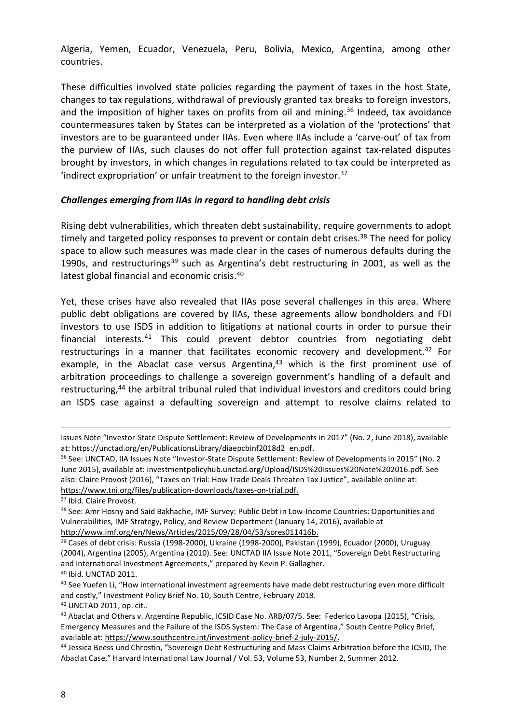Algeria, Yemen, Ecuador, Venezuela, Peru, Bolivia, Mexico, Argentina, among other countries.

These difficulties involved state policies regarding the payment of taxes in the host State, changes to tax regulations, withdrawal of previously granted tax breaks to foreign investors, and the imposition of higher taxes on profits from oil and mining. <sup>36</sup> Indeed, tax avoidance countermeasures taken by States can be interpreted as a violation of the 'protections' that investors are to be guaranteed under IIAs. Even where IIAs include a 'carve-out' of tax from the purview of IIAs, such clauses do not offer full protection against tax-related disputes brought by investors, in which changes in regulations related to tax could be interpreted as 'indirect expropriation' or unfair treatment to the foreign investor. 37

#### <span id="page-7-0"></span>*Challenges emerging from IIAs in regard to handling debt crisis*

Rising debt vulnerabilities, which threaten debt sustainability, require governments to adopt timely and targeted policy responses to prevent or contain debt crises.<sup>38</sup> The need for policy space to allow such measures was made clear in the cases of numerous defaults during the 1990s, and restructurings<sup>39</sup> such as Argentina's debt restructuring in 2001, as well as the latest global financial and economic crisis.<sup>40</sup>

Yet, these crises have also revealed that IIAs pose several challenges in this area. Where public debt obligations are covered by IIAs, these agreements allow bondholders and FDI investors to use ISDS in addition to litigations at national courts in order to pursue their financial interests.<sup>41</sup> This could prevent debtor countries from negotiating debt restructurings in a manner that facilitates economic recovery and development.<sup>42</sup> For example, in the Abaclat case versus Argentina,<sup>43</sup> which is the first prominent use of arbitration proceedings to challenge a sovereign government's handling of a default and restructuring,<sup>44</sup> the arbitral tribunal ruled that individual investors and creditors could bring an ISDS case against a defaulting sovereign and attempt to resolve claims related to

<sup>37</sup> Ibid. Claire Provost.

1

<sup>42</sup> UNCTAD 2011, op. cit..

Issues Note "Investor-State Dispute Settlement: Review of Developments in 2017" (No. 2, June 2018), available at: https://unctad.org/en/PublicationsLibrary/diaepcbinf2018d2\_en.pdf.

<sup>36</sup> See: UNCTAD, IIA Issues Note "Investor-State Dispute Settlement: Review of Developments in 2015" (No. 2 June 2015), available at: investmentpolicyhub.unctad.org/Upload/ISDS%20Issues%20Note%202016.pdf. See also: Claire Provost (2016), "Taxes on Trial: How Trade Deals Threaten Tax Justice", available online at: [https://www.tni.org/files/publication-downloads/taxes-on-trial.pdf.](https://www.tni.org/files/publication-downloads/taxes-on-trial.pdf)

<sup>38</sup> See: Amr Hosny and Said Bakhache, IMF Survey: Public Debt in Low-Income Countries: Opportunities and Vulnerabilities, IMF Strategy, Policy, and Review Department (January 14, 2016), available at [http://www.imf.org/en/News/Articles/2015/09/28/04/53/sores011416b.](http://www.imf.org/en/News/Articles/2015/09/28/04/53/sores011416b)

<sup>39</sup> Cases of debt crisis: Russia (1998-2000), Ukraine (1998-2000), Pakistan (1999), Ecuador (2000), Uruguay (2004), Argentina (2005), Argentina (2010). See: UNCTAD IIA Issue Note 2011, "Sovereign Debt Restructuring and International Investment Agreements," prepared by Kevin P. Gallagher. <sup>40</sup> Ibid. UNCTAD 2011.

<sup>41</sup> See Yuefen Li, "How international investment agreements have made debt restructuring even more difficult and costly," Investment Policy Brief No. 10, South Centre, February 2018.

<sup>43</sup> Abaclat and Others v. Argentine Republic, ICSID Case No. ARB/07/5. See: Federico Lavopa (2015), "Crisis, Emergency Measures and the Failure of the ISDS System: The Case of Argentina," South Centre Policy Brief, available at: [https://www.southcentre.int/investment-policy-brief-2-july-2015/.](https://www.southcentre.int/investment-policy-brief-2-july-2015/)

<sup>44</sup> Jessica Beess und Chrostin, "Sovereign Debt Restructuring and Mass Claims Arbitration before the ICSID, The Abaclat Case," Harvard International Law Journal / Vol. 53, Volume 53, Number 2, Summer 2012.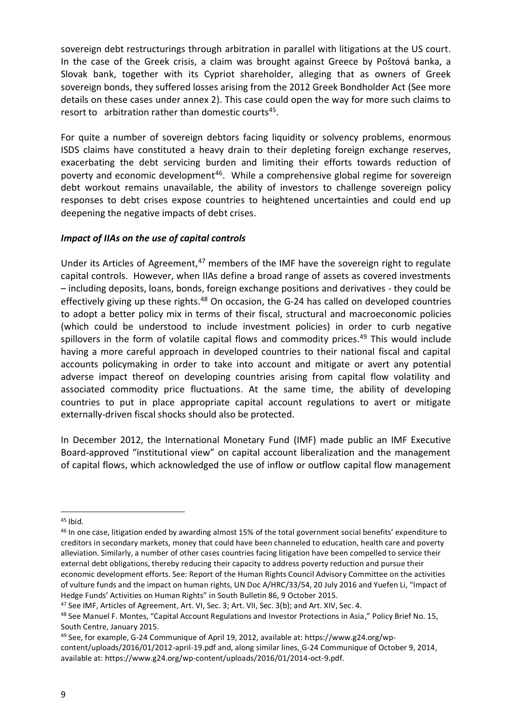sovereign debt restructurings through arbitration in parallel with litigations at the US court. In the case of the Greek crisis, a claim was brought against Greece by Poštová banka, a Slovak bank, together with its Cypriot shareholder, alleging that as owners of Greek sovereign bonds, they suffered losses arising from the 2012 Greek Bondholder Act (See more details on these cases under annex 2). This case could open the way for more such claims to resort to arbitration rather than domestic courts<sup>45</sup>.

For quite a number of sovereign debtors facing liquidity or solvency problems, enormous ISDS claims have constituted a heavy drain to their depleting foreign exchange reserves, exacerbating the debt servicing burden and limiting their efforts towards reduction of poverty and economic development<sup>46</sup>. While a comprehensive global regime for sovereign debt workout remains unavailable, the ability of investors to challenge sovereign policy responses to debt crises expose countries to heightened uncertainties and could end up deepening the negative impacts of debt crises.

## <span id="page-8-0"></span>*Impact of IIAs on the use of capital controls*

Under its Articles of Agreement, $47$  members of the IMF have the sovereign right to regulate capital controls. However, when IIAs define a broad range of assets as covered investments – including deposits, loans, bonds, foreign exchange positions and derivatives - they could be effectively giving up these rights.<sup>48</sup> On occasion, the G-24 has called on developed countries to adopt a better policy mix in terms of their fiscal, structural and macroeconomic policies (which could be understood to include investment policies) in order to curb negative spillovers in the form of volatile capital flows and commodity prices.<sup>49</sup> This would include having a more careful approach in developed countries to their national fiscal and capital accounts policymaking in order to take into account and mitigate or avert any potential adverse impact thereof on developing countries arising from capital flow volatility and associated commodity price fluctuations. At the same time, the ability of developing countries to put in place appropriate capital account regulations to avert or mitigate externally-driven fiscal shocks should also be protected.

In December 2012, the International Monetary Fund (IMF) made public an IMF Executive Board-approved "institutional view" on capital account liberalization and the management of capital flows, which acknowledged the use of inflow or outflow capital flow management

 $45$  Ibid.

<sup>&</sup>lt;sup>46</sup> In one case, litigation ended by awarding almost 15% of the total government social benefits' expenditure to creditors in secondary markets, money that could have been channeled to education, health care and poverty alleviation. Similarly, a number of other cases countries facing litigation have been compelled to service their external debt obligations, thereby reducing their capacity to address poverty reduction and pursue their economic development efforts. See: Report of the Human Rights Council Advisory Committee on the activities of vulture funds and the impact on human rights, UN Doc A/HRC/33/54, 20 July 2016 and Yuefen Li, "Impact of Hedge Funds' Activities on Human Rights" in South Bulletin 86, 9 October 2015.

<sup>47</sup> See IMF, Articles of Agreement, Art. VI, Sec. 3; Art. VII, Sec. 3(b); and Art. XIV, Sec. 4.

<sup>48</sup> See Manuel F. Montes, "Capital Account Regulations and Investor Protections in Asia," Policy Brief No. 15, South Centre, January 2015.

<sup>49</sup> See, for example, G-24 Communique of April 19, 2012, available at: https://www.g24.org/wp-

content/uploads/2016/01/2012-april-19.pdf and, along similar lines, G-24 Communique of October 9, 2014, available at: https://www.g24.org/wp-content/uploads/2016/01/2014-oct-9.pdf.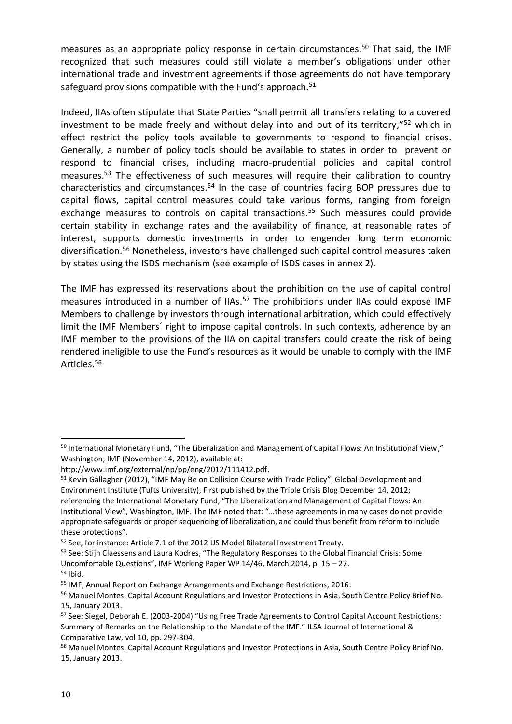<span id="page-9-0"></span>measures as an appropriate policy response in certain circumstances. <sup>50</sup> That said, the IMF recognized that such measures could still violate a member's obligations under other international trade and investment agreements if those agreements do not have temporary safeguard provisions compatible with the Fund's approach.<sup>51</sup>

Indeed, IIAs often stipulate that State Parties "shall permit all transfers relating to a covered investment to be made freely and without delay into and out of its territory," <sup>52</sup> which in effect restrict the policy tools available to governments to respond to financial crises. Generally, a number of policy tools should be available to states in order to prevent or respond to financial crises, including macro-prudential policies and capital control measures. <sup>53</sup> The effectiveness of such measures will require their calibration to country characteristics and circumstances. <sup>54</sup> In the case of countries facing BOP pressures due to capital flows, capital control measures could take various forms, ranging from foreign exchange measures to controls on capital transactions. <sup>55</sup> Such measures could provide certain stability in exchange rates and the availability of finance, at reasonable rates of interest, supports domestic investments in order to engender long term economic diversification. <sup>56</sup> Nonetheless, investors have challenged such capital control measures taken by states using the ISDS mechanism (see example of ISDS cases in annex 2).

The IMF has expressed its reservations about the prohibition on the use of capital control measures introduced in a number of IIAs. <sup>57</sup> The prohibitions under IIAs could expose IMF Members to challenge by investors through international arbitration, which could effectively limit the IMF Members´ right to impose capital controls. In such contexts, adherence by an IMF member to the provisions of the IIA on capital transfers could create the risk of being rendered ineligible to use the Fund's resources as it would be unable to comply with the IMF Articles. 58

<sup>50</sup> International Monetary Fund, "The Liberalization and Management of Capital Flows: An Institutional View," Washington, IMF (November 14, 2012), available at:

[http://www.imf.org/external/np/pp/eng/2012/111412.pdf.](http://www.imf.org/external/np/pp/eng/2012/111412.pdf)

<sup>51</sup> Kevin Gallagher (2012), "IMF May Be on Collision Course with Trade Policy", Global Development and Environment Institute (Tufts University), First published by the Triple Crisis Blog December 14, 2012; referencing the International Monetary Fund, "The Liberalization and Management of Capital Flows: An Institutional View", Washington, IMF. The IMF noted that: "…these agreements in many cases do not provide appropriate safeguards or proper sequencing of liberalization, and could thus benefit from reform to include these protections".

<sup>52</sup> See, for instance: Article 7.1 of the 2012 US Model Bilateral Investment Treaty.

<sup>53</sup> See: Stijn Claessens and Laura Kodres, "The Regulatory Responses to the Global Financial Crisis: Some Uncomfortable Questions", IMF Working Paper WP 14/46, March 2014, p. 15 – 27.  $54$  Ibid.

<sup>55</sup> IMF, Annual Report on Exchange Arrangements and Exchange Restrictions, 2016.

<sup>56</sup> Manuel Montes, Capital Account Regulations and Investor Protections in Asia, South Centre Policy Brief No. 15, January 2013.

<sup>57</sup> See: Siegel, Deborah E. (2003-2004) "Using Free Trade Agreements to Control Capital Account Restrictions: Summary of Remarks on the Relationship to the Mandate of the IMF." ILSA Journal of International & Comparative Law, vol 10, pp. 297-304.

<sup>58</sup> Manuel Montes, Capital Account Regulations and Investor Protections in Asia, South Centre Policy Brief No. 15, January 2013.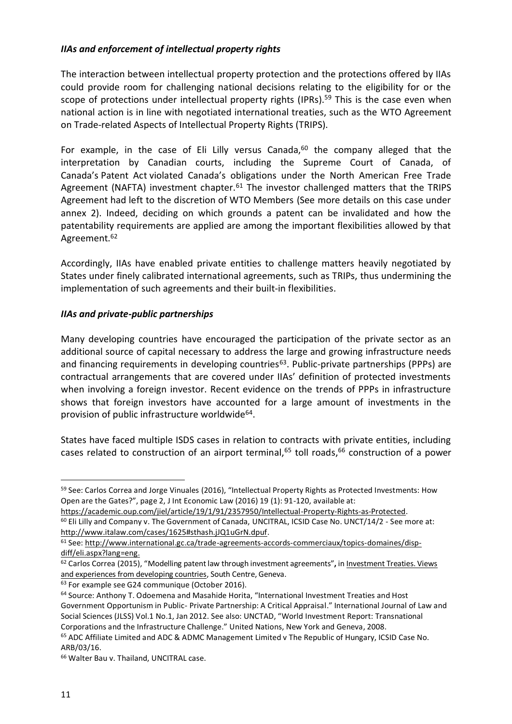# *IIAs and enforcement of intellectual property rights*

The interaction between intellectual property protection and the protections offered by IIAs could provide room for challenging national decisions relating to the eligibility for or the scope of protections under intellectual property rights (IPRs).<sup>59</sup> This is the case even when national action is in line with negotiated international treaties, such as the WTO Agreement on Trade-related Aspects of Intellectual Property Rights (TRIPS).

For example, in the case of Eli Lilly versus Canada, $60$  the company alleged that the interpretation by Canadian courts, including the Supreme Court of Canada, of Canada's Patent Act violated Canada's obligations under the North American Free Trade Agreement (NAFTA) investment chapter.<sup>61</sup> The investor challenged matters that the TRIPS Agreement had left to the discretion of WTO Members (See more details on this case under annex 2). Indeed, deciding on which grounds a patent can be invalidated and how the patentability requirements are applied are among the important flexibilities allowed by that Agreement.<sup>62</sup>

Accordingly, IIAs have enabled private entities to challenge matters heavily negotiated by States under finely calibrated international agreements, such as TRIPs, thus undermining the implementation of such agreements and their built-in flexibilities.

## <span id="page-10-0"></span>*IIAs and private-public partnerships*

Many developing countries have encouraged the participation of the private sector as an additional source of capital necessary to address the large and growing infrastructure needs and financing requirements in developing countries<sup>63</sup>. Public-private partnerships (PPPs) are contractual arrangements that are covered under IIAs' definition of protected investments when involving a foreign investor. Recent evidence on the trends of PPPs in infrastructure shows that foreign investors have accounted for a large amount of investments in the provision of public infrastructure worldwide<sup>64</sup>.

States have faced multiple ISDS cases in relation to contracts with private entities, including cases related to construction of an airport terminal,<sup>65</sup> toll roads,<sup>66</sup> construction of a power

<sup>&</sup>lt;sup>59</sup> See: Carlos Correa and Jorge Vinuales (2016), "Intellectual Property Rights as Protected Investments: How Open are the Gates?", page 2, J Int Economic Law (2016) 19 (1): 91-120, available at:

[https://academic.oup.com/jiel/article/19/1/91/2357950/Intellectual-Property-Rights-as-Protected.](https://academic.oup.com/jiel/article/19/1/91/2357950/Intellectual-Property-Rights-as-Protected)  $60$  Eli Lilly and Company v. The Government of Canada, UNCITRAL, ICSID Case No. UNCT/14/2 - See more at: [http://www.italaw.com/cases/1625#sthash.jJQ1uGrN.dpuf.](http://www.italaw.com/cases/1625#sthash.jJQ1uGrN.dpuf)

<sup>61</sup> See: [http://www.international.gc.ca/trade-agreements-accords-commerciaux/topics-domaines/disp](http://www.international.gc.ca/trade-agreements-accords-commerciaux/topics-domaines/disp-diff/eli.aspx?lang=eng)[diff/eli.aspx?lang=eng.](http://www.international.gc.ca/trade-agreements-accords-commerciaux/topics-domaines/disp-diff/eli.aspx?lang=eng)

<sup>62</sup> Carlos Correa (2015), "Modelling patent law through investment agreements"**,** in Investment Treaties. Views and experiences from developing countries, South Centre, Geneva.

<sup>&</sup>lt;sup>63</sup> For example see G24 communique (October 2016).

<sup>&</sup>lt;sup>64</sup> Source: Anthony T. Odoemena and Masahide Horita, "International Investment Treaties and Host Government Opportunism in Public- Private Partnership: A Critical Appraisal." International Journal of Law and Social Sciences (JLSS) Vol.1 No.1, Jan 2012. See also: UNCTAD, "World Investment Report: Transnational Corporations and the Infrastructure Challenge." United Nations, New York and Geneva, 2008.

<sup>65</sup> ADC Affiliate Limited and ADC & ADMC Management Limited v The Republic of Hungary, ICSID Case No. ARB/03/16.

<sup>66</sup> Walter Bau v. Thailand, UNCITRAL case.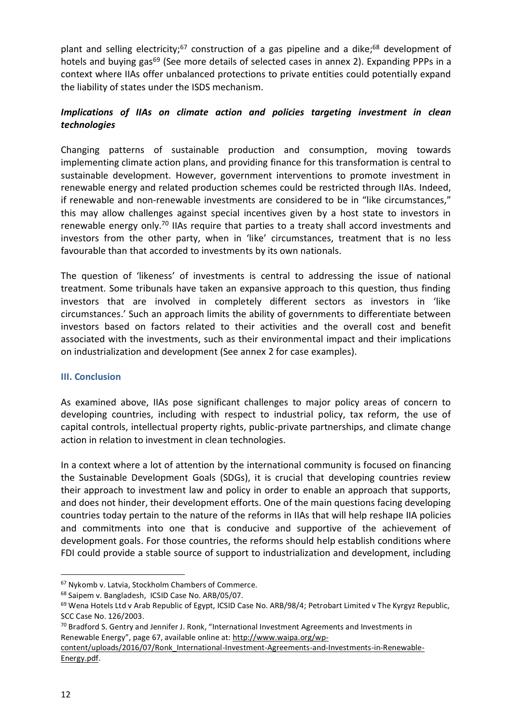plant and selling electricity;<sup>67</sup> construction of a gas pipeline and a dike;<sup>68</sup> development of hotels and buying gas<sup>69</sup> (See more details of selected cases in annex 2). Expanding PPPs in a context where IIAs offer unbalanced protections to private entities could potentially expand the liability of states under the ISDS mechanism.

# <span id="page-11-0"></span>*Implications of IIAs on climate action and policies targeting investment in clean technologies*

Changing patterns of sustainable production and consumption, moving towards implementing climate action plans, and providing finance for this transformation is central to sustainable development. However, government interventions to promote investment in renewable energy and related production schemes could be restricted through IIAs. Indeed, if renewable and non-renewable investments are considered to be in "like circumstances," this may allow challenges against special incentives given by a host state to investors in renewable energy only.<sup>70</sup> IIAs require that parties to a treaty shall accord investments and investors from the other party, when in 'like' circumstances, treatment that is no less favourable than that accorded to investments by its own nationals.

The question of 'likeness' of investments is central to addressing the issue of national treatment. Some tribunals have taken an expansive approach to this question, thus finding investors that are involved in completely different sectors as investors in 'like circumstances.' Such an approach limits the ability of governments to differentiate between investors based on factors related to their activities and the overall cost and benefit associated with the investments, such as their environmental impact and their implications on industrialization and development (See annex 2 for case examples).

## <span id="page-11-1"></span>**III. Conclusion**

As examined above, IIAs pose significant challenges to major policy areas of concern to developing countries, including with respect to industrial policy, tax reform, the use of capital controls, intellectual property rights, public-private partnerships, and climate change action in relation to investment in clean technologies.

In a context where a lot of attention by the international community is focused on financing the Sustainable Development Goals (SDGs), it is crucial that developing countries review their approach to investment law and policy in order to enable an approach that supports, and does not hinder, their development efforts. One of the main questions facing developing countries today pertain to the nature of the reforms in IIAs that will help reshape IIA policies and commitments into one that is conducive and supportive of the achievement of development goals. For those countries, the reforms should help establish conditions where FDI could provide a stable source of support to industrialization and development, including

<sup>67</sup> Nykomb v. Latvia, Stockholm Chambers of Commerce.

<sup>68</sup> Saipem v. Bangladesh, ICSID Case No. ARB/05/07.

<sup>&</sup>lt;sup>69</sup> Wena Hotels Ltd v Arab Republic of Egypt, ICSID Case No. ARB/98/4; Petrobart Limited v The Kyrgyz Republic, SCC Case No. 126/2003.

<sup>70</sup> Bradford S. Gentry and Jennifer J. Ronk, "International Investment Agreements and Investments in Renewable Energy", page 67, available online at: [http://www.waipa.org/wp-](http://www.waipa.org/wp-content/uploads/2016/07/Ronk_International-Investment-Agreements-and-Investments-in-Renewable-Energy.pdf)

[content/uploads/2016/07/Ronk\\_International-Investment-Agreements-and-Investments-in-Renewable-](http://www.waipa.org/wp-content/uploads/2016/07/Ronk_International-Investment-Agreements-and-Investments-in-Renewable-Energy.pdf)[Energy.pdf.](http://www.waipa.org/wp-content/uploads/2016/07/Ronk_International-Investment-Agreements-and-Investments-in-Renewable-Energy.pdf)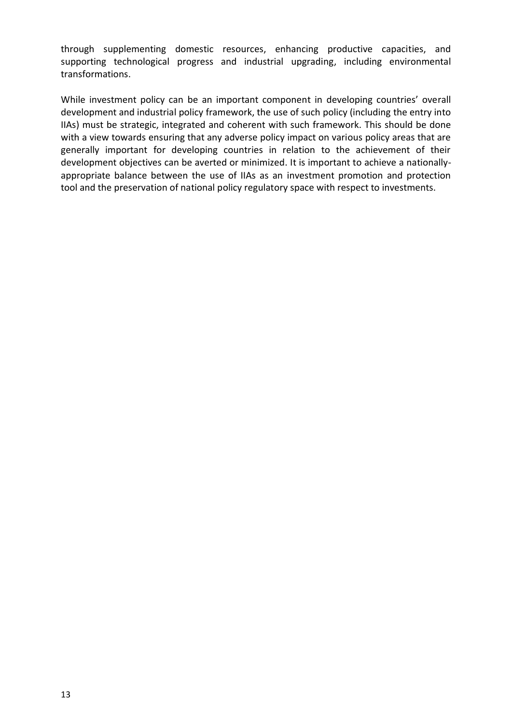through supplementing domestic resources, enhancing productive capacities, and supporting technological progress and industrial upgrading, including environmental transformations.

While investment policy can be an important component in developing countries' overall development and industrial policy framework, the use of such policy (including the entry into IIAs) must be strategic, integrated and coherent with such framework. This should be done with a view towards ensuring that any adverse policy impact on various policy areas that are generally important for developing countries in relation to the achievement of their development objectives can be averted or minimized. It is important to achieve a nationallyappropriate balance between the use of IIAs as an investment promotion and protection tool and the preservation of national policy regulatory space with respect to investments.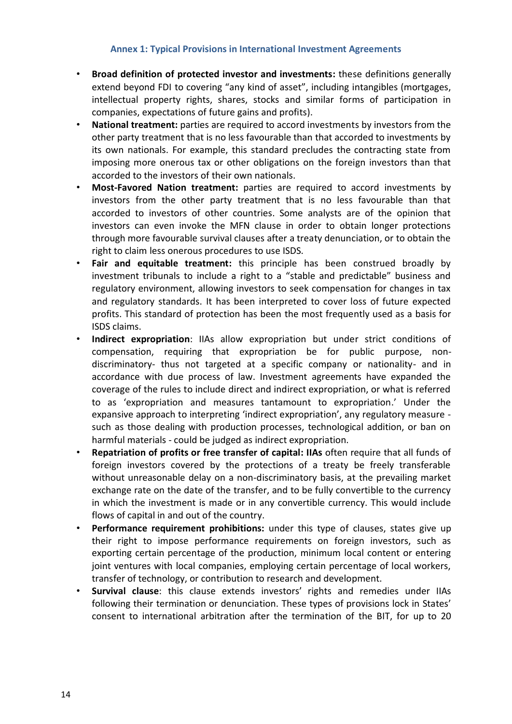#### **Annex 1: Typical Provisions in International Investment Agreements**

- <span id="page-13-0"></span>• **Broad definition of protected investor and investments:** these definitions generally extend beyond FDI to covering "any kind of asset", including intangibles (mortgages, intellectual property rights, shares, stocks and similar forms of participation in companies, expectations of future gains and profits).
- **National treatment:** parties are required to accord investments by investors from the other party treatment that is no less favourable than that accorded to investments by its own nationals. For example, this standard precludes the contracting state from imposing more onerous tax or other obligations on the foreign investors than that accorded to the investors of their own nationals.
- **Most-Favored Nation treatment:** parties are required to accord investments by investors from the other party treatment that is no less favourable than that accorded to investors of other countries. Some analysts are of the opinion that investors can even invoke the MFN clause in order to obtain longer protections through more favourable survival clauses after a treaty denunciation, or to obtain the right to claim less onerous procedures to use ISDS.
- **Fair and equitable treatment:** this principle has been construed broadly by investment tribunals to include a right to a "stable and predictable" business and regulatory environment, allowing investors to seek compensation for changes in tax and regulatory standards. It has been interpreted to cover loss of future expected profits. This standard of protection has been the most frequently used as a basis for ISDS claims.
- **Indirect expropriation**: IIAs allow expropriation but under strict conditions of compensation, requiring that expropriation be for public purpose, nondiscriminatory- thus not targeted at a specific company or nationality- and in accordance with due process of law. Investment agreements have expanded the coverage of the rules to include direct and indirect expropriation, or what is referred to as 'expropriation and measures tantamount to expropriation.' Under the expansive approach to interpreting 'indirect expropriation', any regulatory measure such as those dealing with production processes, technological addition, or ban on harmful materials - could be judged as indirect expropriation.
- **Repatriation of profits or free transfer of capital: IIAs** often require that all funds of foreign investors covered by the protections of a treaty be freely transferable without unreasonable delay on a non-discriminatory basis, at the prevailing market exchange rate on the date of the transfer, and to be fully convertible to the currency in which the investment is made or in any convertible currency. This would include flows of capital in and out of the country.
- **Performance requirement prohibitions:** under this type of clauses, states give up their right to impose performance requirements on foreign investors, such as exporting certain percentage of the production, minimum local content or entering joint ventures with local companies, employing certain percentage of local workers, transfer of technology, or contribution to research and development.
- **Survival clause**: this clause extends investors' rights and remedies under IIAs following their termination or denunciation. These types of provisions lock in States' consent to international arbitration after the termination of the BIT, for up to 20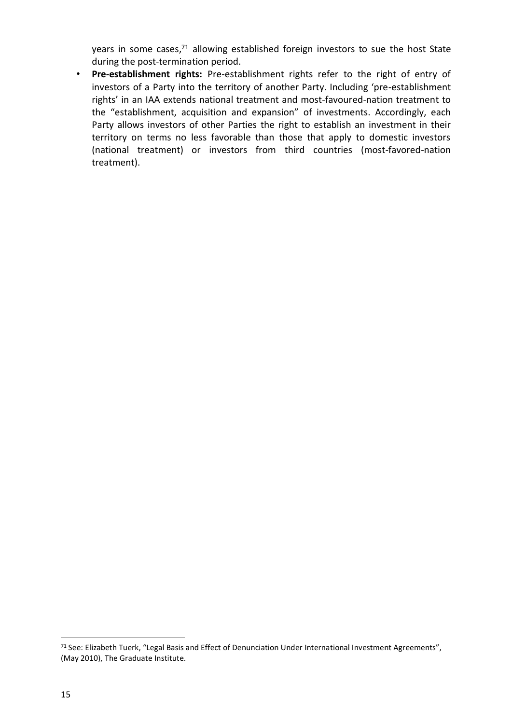years in some cases, <sup>71</sup> allowing established foreign investors to sue the host State during the post-termination period.

• **Pre-establishment rights:** Pre-establishment rights refer to the right of entry of investors of a Party into the territory of another Party. Including 'pre-establishment rights' in an IAA extends national treatment and most-favoured-nation treatment to the "establishment, acquisition and expansion" of investments. Accordingly, each Party allows investors of other Parties the right to establish an investment in their territory on terms no less favorable than those that apply to domestic investors (national treatment) or investors from third countries (most-favored-nation treatment).

 $\overline{a}$ 

<sup>71</sup> See: Elizabeth Tuerk, "Legal Basis and Effect of Denunciation Under International Investment Agreements", (May 2010), The Graduate Institute.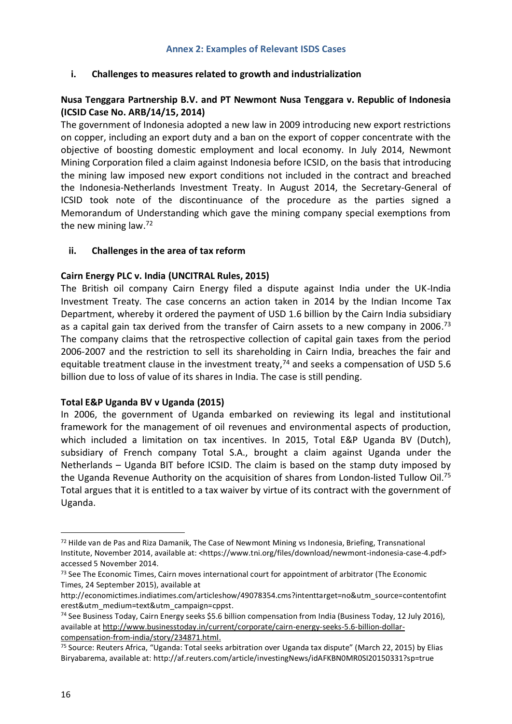#### <span id="page-15-0"></span>**i. Challenges to measures related to growth and industrialization**

#### **Nusa Tenggara Partnership B.V. and PT Newmont Nusa Tenggara v. Republic of Indonesia (ICSID Case No. ARB/14/15, 2014)**

The government of Indonesia adopted a new law in 2009 introducing new export restrictions on copper, including an export duty and a ban on the export of copper concentrate with the objective of boosting domestic employment and local economy. In July 2014, Newmont Mining Corporation filed a claim against Indonesia before ICSID, on the basis that introducing the mining law imposed new export conditions not included in the contract and breached the Indonesia-Netherlands Investment Treaty. In August 2014, the Secretary-General of ICSID took note of the discontinuance of the procedure as the parties signed a Memorandum of Understanding which gave the mining company special exemptions from the new mining law. 72

#### **ii. Challenges in the area of tax reform**

#### **Cairn Energy PLC v. India (UNCITRAL Rules, 2015)**

The British oil company Cairn Energy filed a dispute against India under the UK-India Investment Treaty. The case concerns an action taken in 2014 by the Indian Income Tax Department, whereby it ordered the payment of USD 1.6 billion by the Cairn India subsidiary as a capital gain tax derived from the transfer of Cairn assets to a new company in 2006.<sup>73</sup> The company claims that the retrospective collection of capital gain taxes from the period 2006-2007 and the restriction to sell its shareholding in Cairn India, breaches the fair and equitable treatment clause in the investment treaty,<sup>74</sup> and seeks a compensation of USD 5.6 billion due to loss of value of its shares in India. The case is still pending.

#### **Total E&P Uganda BV v Uganda (2015)**

In 2006, the government of Uganda embarked on reviewing its legal and institutional framework for the management of oil revenues and environmental aspects of production, which included a limitation on tax incentives. In 2015, Total E&P Uganda BV (Dutch), subsidiary of French company Total S.A., brought a claim against Uganda under the Netherlands – Uganda BIT before ICSID. The claim is based on the stamp duty imposed by the Uganda Revenue Authority on the acquisition of shares from London-listed Tullow Oil.<sup>75</sup> Total argues that it is entitled to a tax waiver by virtue of its contract with the government of Uganda.

 $72$  Hilde van de Pas and Riza Damanik, The Case of Newmont Mining vs Indonesia, Briefing, Transnational Institute, November 2014, available at: <https://www.tni.org/files/download/newmont-indonesia-case-4.pdf> accessed 5 November 2014.

<sup>&</sup>lt;sup>73</sup> See The Economic Times, Cairn moves international court for appointment of arbitrator (The Economic Times, 24 September 2015), available at

[http://economictimes.indiatimes.com/articleshow/49078354.cms?intenttarget=no&utm\\_source=contentofint](http://economictimes.indiatimes.com/articleshow/49078354.cms?intenttarget=no&utm_source=contentofinterest&utm_medium=text&utm_campaign=cppst) [erest&utm\\_medium=text&utm\\_campaign=cppst.](http://economictimes.indiatimes.com/articleshow/49078354.cms?intenttarget=no&utm_source=contentofinterest&utm_medium=text&utm_campaign=cppst)

<sup>74</sup> See Business Today, Cairn Energy seeks \$5.6 billion compensation from India (Business Today, 12 July 2016), available at [http://www.businesstoday.in/current/corporate/cairn-energy-seeks-5.6-billion-dollar](http://www.businesstoday.in/current/corporate/cairn-energy-seeks-5.6-billion-dollar-compensation-from-india/story/234871.html)[compensation-from-india/story/234871.html.](http://www.businesstoday.in/current/corporate/cairn-energy-seeks-5.6-billion-dollar-compensation-from-india/story/234871.html)

<sup>75</sup> Source: Reuters Africa, "Uganda: Total seeks arbitration over Uganda tax dispute" (March 22, 2015) by Elias Biryabarema, available at:<http://af.reuters.com/article/investingNews/idAFKBN0MR0SI20150331?sp=true>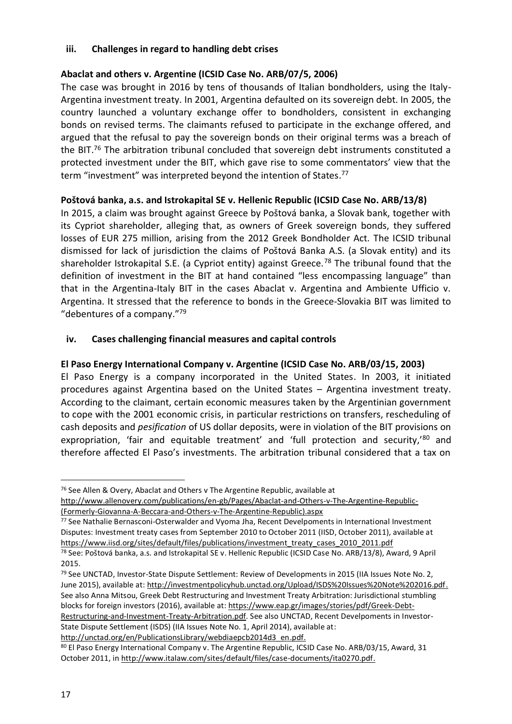#### **iii. Challenges in regard to handling debt crises**

# **Abaclat and others v. Argentine (ICSID Case No. ARB/07/5, 2006)**

The case was brought in 2016 by tens of thousands of Italian bondholders, using the Italy-Argentina investment treaty. In 2001, Argentina defaulted on its sovereign debt. In 2005, the country launched a voluntary exchange offer to bondholders, consistent in exchanging bonds on revised terms. The claimants refused to participate in the exchange offered, and argued that the refusal to pay the sovereign bonds on their original terms was a breach of the BIT. <sup>76</sup> The arbitration tribunal concluded that sovereign debt instruments constituted a protected investment under the BIT, which gave rise to some commentators' view that the term "investment" was interpreted beyond the intention of States.<sup>77</sup>

## **Poštová banka, a.s. and Istrokapital SE v. Hellenic Republic (ICSID Case No. ARB/13/8)**

In 2015, a claim was brought against Greece by Poštová banka, a Slovak bank, together with its Cypriot shareholder, alleging that, as owners of Greek sovereign bonds, they suffered losses of EUR 275 million, arising from the 2012 Greek Bondholder Act. The ICSID tribunal dismissed for lack of jurisdiction the claims of Poštová Banka A.S. (a Slovak entity) and its shareholder Istrokapital S.E. (a Cypriot entity) against Greece.<sup>78</sup> The tribunal found that the definition of investment in the BIT at hand contained "less encompassing language" than that in the Argentina-Italy BIT in the cases Abaclat v. Argentina and Ambiente Ufficio v. Argentina. It stressed that the reference to bonds in the Greece-Slovakia BIT was limited to "debentures of a company."<sup>79</sup>

#### **iv. Cases challenging financial measures and capital controls**

## **El Paso Energy International Company v. Argentine (ICSID Case No. ARB/03/15, 2003)**

El Paso Energy is a company incorporated in the United States. In 2003, it initiated procedures against Argentina based on the United States – Argentina investment treaty. According to the claimant, certain economic measures taken by the Argentinian government to cope with the 2001 economic crisis, in particular restrictions on transfers, rescheduling of cash deposits and *pesification* of US dollar deposits, were in violation of the BIT provisions on expropriation, 'fair and equitable treatment' and 'full protection and security,'80 and therefore affected El Paso's investments. The arbitration tribunal considered that a tax on

[http://unctad.org/en/PublicationsLibrary/webdiaepcb2014d3\\_en.pdf.](http://unctad.org/en/PublicationsLibrary/webdiaepcb2014d3_en.pdf)

<sup>76</sup> See Allen & Overy, Abaclat and Others v The Argentine Republic, available at

[http://www.allenovery.com/publications/en-gb/Pages/Abaclat-and-Others-v-The-Argentine-Republic-](http://www.allenovery.com/publications/en-gb/Pages/Abaclat-and-Others-v-The-Argentine-Republic-(Formerly-Giovanna-A-Beccara-and-Others-v-The-Argentine-Republic).aspx) [\(Formerly-Giovanna-A-Beccara-and-Others-v-The-Argentine-Republic\).aspx](http://www.allenovery.com/publications/en-gb/Pages/Abaclat-and-Others-v-The-Argentine-Republic-(Formerly-Giovanna-A-Beccara-and-Others-v-The-Argentine-Republic).aspx)

<sup>77</sup> See Nathalie Bernasconi-Osterwalder and Vyoma Jha, Recent Develpoments in International Investment Disputes: Investment treaty cases from September 2010 to October 2011 (IISD, October 2011), available at [https://www.iisd.org/sites/default/files/publications/investment\\_treaty\\_cases\\_2010\\_2011.pdf](https://www.iisd.org/sites/default/files/publications/investment_treaty_cases_2010_2011.pdf)

<sup>78</sup> See: Poštová banka, a.s. and Istrokapital SE v. Hellenic Republic (ICSID Case No. ARB/13/8), Award, 9 April 2015.

<sup>79</sup> See UNCTAD, Investor-State Dispute Settlement: Review of Developments in 2015 (IIA Issues Note No. 2, June 2015), available at: [http://investmentpolicyhub.unctad.org/Upload/ISDS%20Issues%20Note%202016.pdf.](http://investmentpolicyhub.unctad.org/Upload/ISDS%20Issues%20Note%202016.pdf) See also Anna Mitsou, Greek Debt Restructuring and Investment Treaty Arbitration: Jurisdictional stumbling blocks for foreign investors (2016), available at: [https://www.eap.gr/images/stories/pdf/Greek-Debt-](https://www.eap.gr/images/stories/pdf/Greek-Debt-Restructuring-and-Investment-Treaty-Arbitration.pdf)[Restructuring-and-Investment-Treaty-Arbitration.pdf.](https://www.eap.gr/images/stories/pdf/Greek-Debt-Restructuring-and-Investment-Treaty-Arbitration.pdf) See also UNCTAD, Recent Develpoments in Investor-State Dispute Settlement (ISDS) (IIA Issues Note No. 1, April 2014), available at:

<sup>80</sup> El Paso Energy International Company v. The Argentine Republic, ICSID Case No. ARB/03/15, Award, 31 October 2011, in [http://www.italaw.com/sites/default/files/case-documents/ita0270.pdf.](http://www.italaw.com/sites/default/files/case-documents/ita0270.pdf)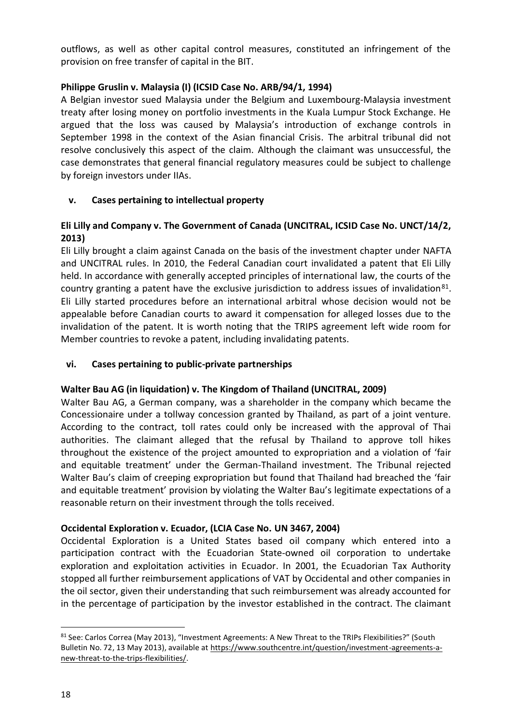outflows, as well as other capital control measures, constituted an infringement of the provision on free transfer of capital in the BIT.

# **Philippe Gruslin v. Malaysia (I) (ICSID Case No. ARB/94/1, 1994)**

A Belgian investor sued Malaysia under the Belgium and Luxembourg-Malaysia investment treaty after losing money on portfolio investments in the Kuala Lumpur Stock Exchange. He argued that the loss was caused by Malaysia's introduction of exchange controls in September 1998 in the context of the Asian financial Crisis. The arbitral tribunal did not resolve conclusively this aspect of the claim. Although the claimant was unsuccessful, the case demonstrates that general financial regulatory measures could be subject to challenge by foreign investors under IIAs.

# **v. Cases pertaining to intellectual property**

# **Eli Lilly and Company v. The Government of Canada (UNCITRAL, ICSID Case No. UNCT/14/2, 2013)**

Eli Lilly brought a claim against Canada on the basis of the investment chapter under NAFTA and UNCITRAL rules. In 2010, the Federal Canadian court invalidated a patent that Eli Lilly held. In accordance with generally accepted principles of international law, the courts of the country granting a patent have the exclusive jurisdiction to address issues of invalidation $81$ . Eli Lilly started procedures before an international arbitral whose decision would not be appealable before Canadian courts to award it compensation for alleged losses due to the invalidation of the patent. It is worth noting that the TRIPS agreement left wide room for Member countries to revoke a patent, including invalidating patents.

## **vi. Cases pertaining to public-private partnerships**

## **Walter Bau AG (in liquidation) v. The Kingdom of Thailand (UNCITRAL, 2009)**

Walter Bau AG, a German company, was a shareholder in the company which became the Concessionaire under a tollway concession granted by Thailand, as part of a joint venture. According to the contract, toll rates could only be increased with the approval of Thai authorities. The claimant alleged that the refusal by Thailand to approve toll hikes throughout the existence of the project amounted to expropriation and a violation of 'fair and equitable treatment' under the German-Thailand investment. The Tribunal rejected Walter Bau's claim of creeping expropriation but found that Thailand had breached the 'fair and equitable treatment' provision by violating the Walter Bau's legitimate expectations of a reasonable return on their investment through the tolls received.

## **Occidental Exploration v. Ecuador, (LCIA Case No. UN 3467, 2004)**

Occidental Exploration is a United States based oil company which entered into a participation contract with the Ecuadorian State-owned oil corporation to undertake exploration and exploitation activities in Ecuador. In 2001, the Ecuadorian Tax Authority stopped all further reimbursement applications of VAT by Occidental and other companies in the oil sector, given their understanding that such reimbursement was already accounted for in the percentage of participation by the investor established in the contract. The claimant

<sup>81</sup> See: Carlos Correa (May 2013), "Investment Agreements: A New Threat to the TRIPs Flexibilities?" (South Bulletin No. 72, 13 May 2013), available at [https://www.southcentre.int/question/investment-agreements-a](https://www.southcentre.int/question/investment-agreements-a-new-threat-to-the-trips-flexibilities/)[new-threat-to-the-trips-flexibilities/.](https://www.southcentre.int/question/investment-agreements-a-new-threat-to-the-trips-flexibilities/)